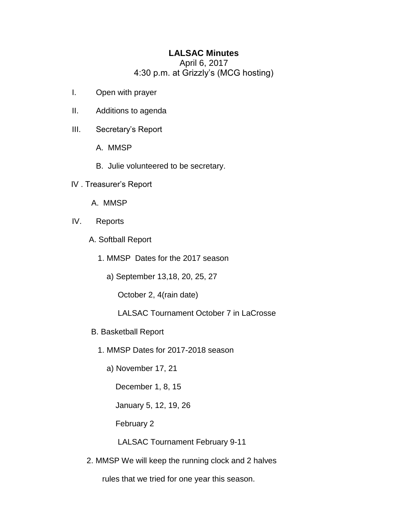## **LALSAC Minutes**

April 6, 2017 4:30 p.m. at Grizzly's (MCG hosting)

- I. Open with prayer
- II. Additions to agenda
- III. Secretary's Report
	- A. MMSP
	- B. Julie volunteered to be secretary.
- IV . Treasurer's Report
	- A. MMSP
- IV. Reports
	- A. Softball Report
		- 1. MMSP Dates for the 2017 season
			- a) September 13,18, 20, 25, 27
				- October 2, 4(rain date)
				- LALSAC Tournament October 7 in LaCrosse
	- B. Basketball Report
		- 1. MMSP Dates for 2017-2018 season
			- a) November 17, 21
				- December 1, 8, 15
				- January 5, 12, 19, 26
				- February 2
				- LALSAC Tournament February 9-11
	- 2. MMSP We will keep the running clock and 2 halves
		- rules that we tried for one year this season.